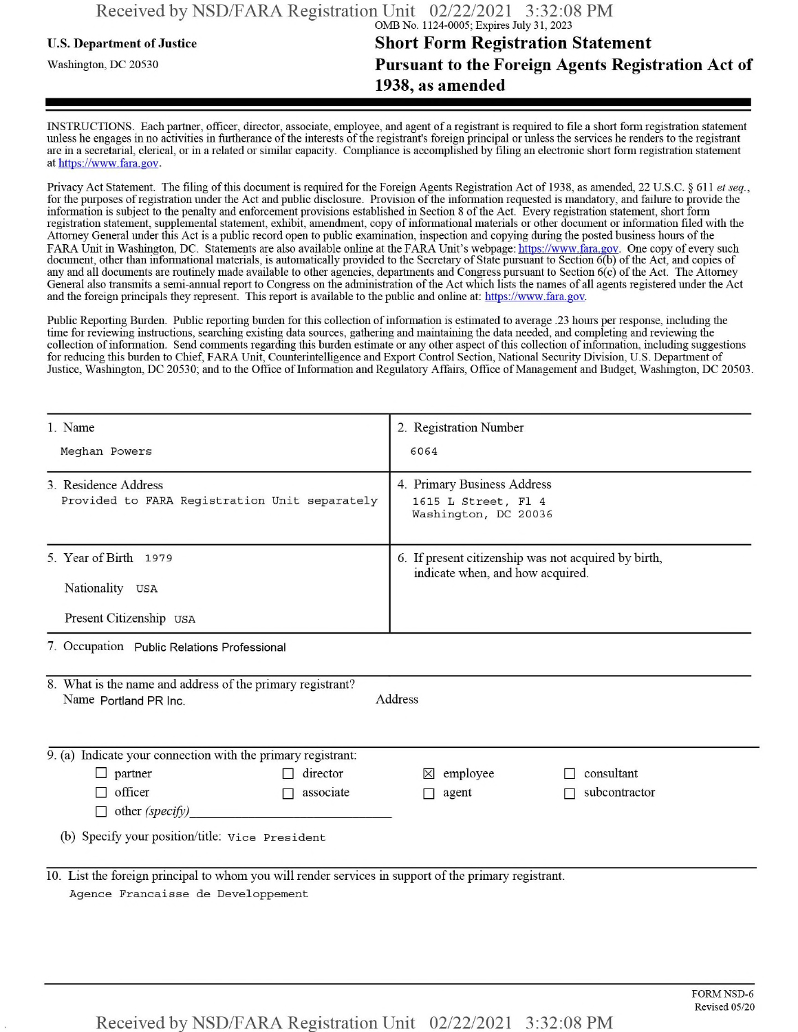## **u.s.** Department ofJustice **Short Form Registration Statement** Washington, dc <sup>20530</sup>**Pursuant to the Foreign Agents Registration Act of 1938, as amended**

INSTRUCTIONS. Each partner, officer, director, associate, employee, and agent of a registrant is required to file a short form registration statement unless he engages in no activities in furtherance ofthe interests ofthe registrant's foreign principal or unless the services he renders to the registrant are in a secretarial, clerical, or in a related or similar capacity. Compliance is accomplished by filing an electronic short form registration statement at https://www.fara.gov.

Privacy Act Statement. The filing of this document is required for the Foreign Agents Registration Act of 1938, as amended, 22 U.S.C. § 611 et seq., for the purposes ofregistration under the Act and public disclosure. Provision ofthe information requested is mandatory, and failure to provide the information is subject to the penalty and enforcement provisions established in Section 8 ofthe Act. Every registration statement, short form registration statement, supplemental statement, exhibit, amendment, copy ofinformational materials or other document or information filed with the Attorney General under this Act is a public record open to public examination, inspection and copying during the posted business hours of the FARA Unit in Washington, DC. Statements are also available online at the FARA Unit's webpage: https://www.fara.gov. One copy of every such document, other than informational materials, is automatically provided to the Secretary of State pursuant to Section 6(b) of the Act, and copies of any and all documents are routinely made available to other agencies, departments and Congress pursuant to Section 6(c) ofthe Act. The Attorney General also transmits a semi-annual report to Congress on the administration ofthe Act which lists the names of all agents registered under the Act and the foreign principals they represent. This report is available to the public and online at: https://www.fara.gov.

Public Reporting Burden. Public reporting burden for this collection ofinformation is estimated to average .23 hours per response, including the time for reviewing instructions, searching existing data sources, gathering and maintaining the data needed, and completing and reviewing the collection of information. Send comments regarding this burden estimate or any other aspect of this collection of information, including suggestions for reducing this burden to Chief, FARA Unit, Counterintelligence and Export Control Section, National Security Division, U.S. Department of Justice, Washington, DC 20530; and to the Office of Information and Regulatory Affairs, Office of Management and Budget, Washington, DC 20503.

| 1. Name                                                                                                                                     | 2. Registration Number                                                                   |  |  |
|---------------------------------------------------------------------------------------------------------------------------------------------|------------------------------------------------------------------------------------------|--|--|
| Meghan Powers                                                                                                                               | 6064                                                                                     |  |  |
| 3 Residence Address<br>Provided to FARA Registration Unit separately                                                                        | 4. Primary Business Address<br>1615 L Street, Fl 4<br>Washington, DC 20036               |  |  |
| 5. Year of Birth 1979<br>Nationality USA<br>Present Citizenship USA                                                                         | 6. If present citizenship was not acquired by birth,<br>indicate when, and how acquired. |  |  |
| 7. Occupation Public Relations Professional                                                                                                 |                                                                                          |  |  |
| 8. What is the name and address of the primary registrant?<br>Name Portland PR Inc.                                                         | Address                                                                                  |  |  |
| 9. (a) Indicate your connection with the primary registrant:                                                                                |                                                                                          |  |  |
| $\Box$ partner<br>director<br>officer<br>associate<br>$\Box$ other (specify)<br>(b) Specify your position/title: Vice President             | consultant<br>$\boxtimes$ employee<br>subcontractor<br>agent                             |  |  |
| 10. List the foreign principal to whom you will render services in support of the primary registrant.<br>Agence Francaisse de Developpement |                                                                                          |  |  |